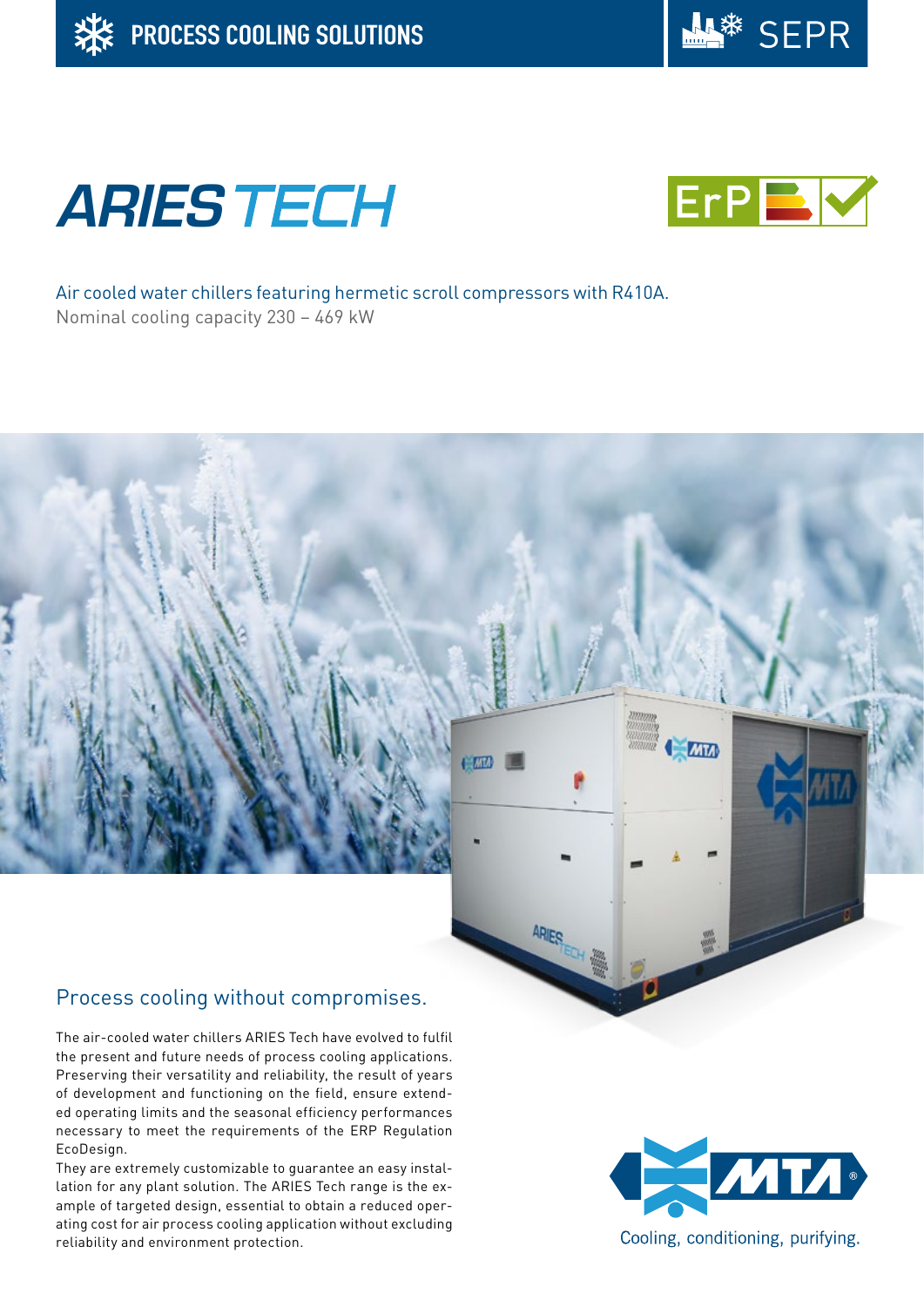





Air cooled water chillers featuring hermetic scroll compressors with R410A. Nominal cooling capacity 230 – 469 kW

 $EMA$ 

**ARIES** 

# Process cooling without compromises.

The air-cooled water chillers ARIES Tech have evolved to fulfil the present and future needs of process cooling applications. Preserving their versatility and reliability, the result of years of development and functioning on the field, ensure extended operating limits and the seasonal efficiency performances necessary to meet the requirements of the ERP Regulation EcoDesign.

They are extremely customizable to guarantee an easy installation for any plant solution. The ARIES Tech range is the example of targeted design, essential to obtain a reduced operating cost for air process cooling application without excluding reliability and environment protection.



**Cam**